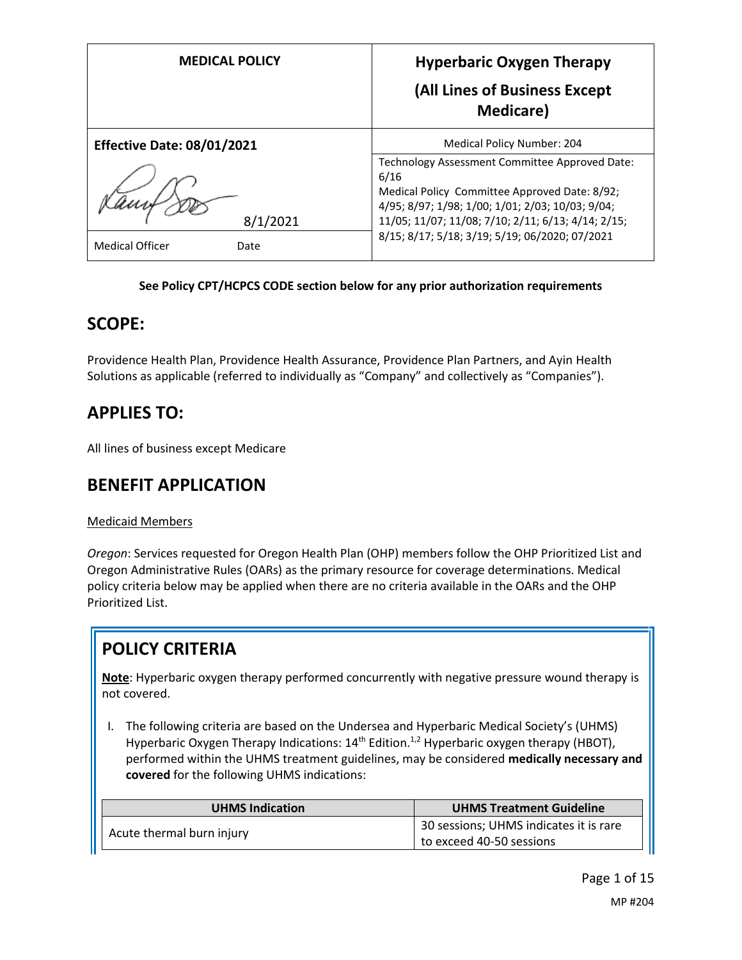| <b>MEDICAL POLICY</b>             | <b>Hyperbaric Oxygen Therapy</b><br>(All Lines of Business Except<br><b>Medicare</b> )                                                                                                                            |
|-----------------------------------|-------------------------------------------------------------------------------------------------------------------------------------------------------------------------------------------------------------------|
| <b>Effective Date: 08/01/2021</b> | Medical Policy Number: 204                                                                                                                                                                                        |
| 8/1/2021                          | Technology Assessment Committee Approved Date:<br>6/16<br>Medical Policy Committee Approved Date: 8/92;<br>4/95; 8/97; 1/98; 1/00; 1/01; 2/03; 10/03; 9/04;<br>11/05; 11/07; 11/08; 7/10; 2/11; 6/13; 4/14; 2/15; |
| <b>Medical Officer</b><br>Date    | 8/15; 8/17; 5/18; 3/19; 5/19; 06/2020; 07/2021                                                                                                                                                                    |

### **See Policy CPT/HCPCS CODE section below for any prior authorization requirements**

## **SCOPE:**

Providence Health Plan, Providence Health Assurance, Providence Plan Partners, and Ayin Health Solutions as applicable (referred to individually as "Company" and collectively as "Companies").

# **APPLIES TO:**

All lines of business except Medicare

# **BENEFIT APPLICATION**

## Medicaid Members

*Oregon*: Services requested for Oregon Health Plan (OHP) members follow the OHP Prioritized List and Oregon Administrative Rules (OARs) as the primary resource for coverage determinations. Medical policy criteria below may be applied when there are no criteria available in the OARs and the OHP Prioritized List.

# **POLICY CRITERIA**

**Note**: Hyperbaric oxygen therapy performed concurrently with negative pressure wound therapy is not covered.

I. The following criteria are based on the Undersea and Hyperbaric Medical Society's (UHMS) Hyperbaric Oxygen Therapy Indications: 14<sup>th</sup> Edition.<sup>1,2</sup> Hyperbaric oxygen therapy (HBOT), performed within the UHMS treatment guidelines, may be considered **medically necessary and covered** for the following UHMS indications:

| <b>UHMS Indication</b>    | <b>UHMS Treatment Guideline</b>        |
|---------------------------|----------------------------------------|
|                           | 30 sessions; UHMS indicates it is rare |
| Acute thermal burn injury | to exceed 40-50 sessions               |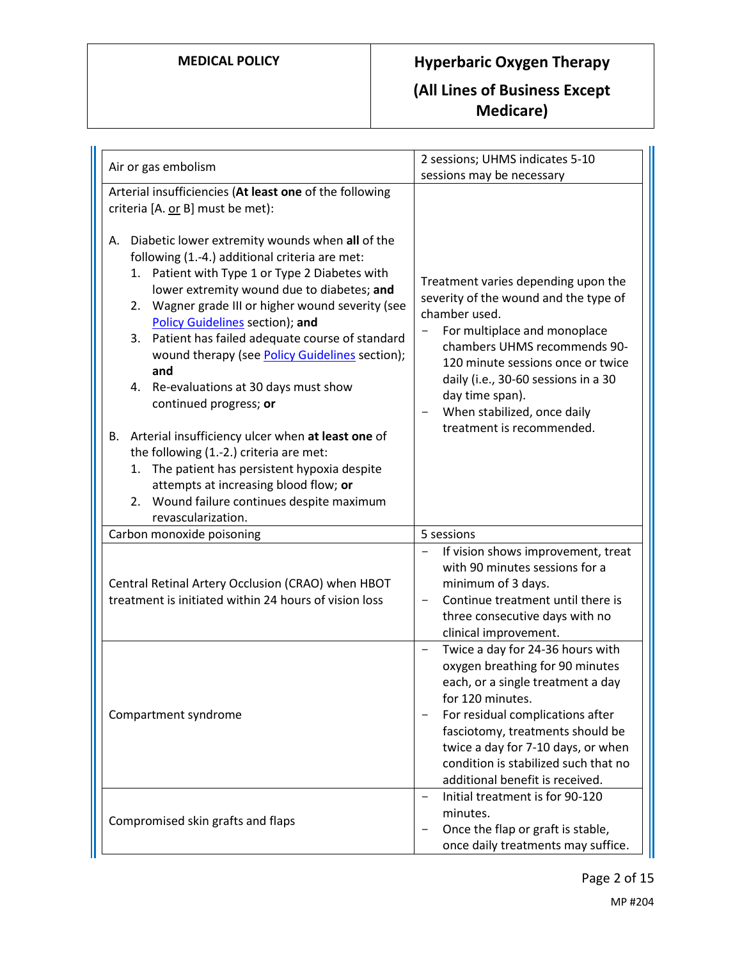# **MEDICAL POLICY Hyperbaric Oxygen Therapy (All Lines of Business Except Medicare)**

| Air or gas embolism                                                                                                                                                                                                                                                                                                                                                                                                                                                                                                                                          | 2 sessions; UHMS indicates 5-10                                                                                                                                                                                                                                                                                               |
|--------------------------------------------------------------------------------------------------------------------------------------------------------------------------------------------------------------------------------------------------------------------------------------------------------------------------------------------------------------------------------------------------------------------------------------------------------------------------------------------------------------------------------------------------------------|-------------------------------------------------------------------------------------------------------------------------------------------------------------------------------------------------------------------------------------------------------------------------------------------------------------------------------|
|                                                                                                                                                                                                                                                                                                                                                                                                                                                                                                                                                              | sessions may be necessary                                                                                                                                                                                                                                                                                                     |
| Arterial insufficiencies (At least one of the following<br>criteria [A. or B] must be met):                                                                                                                                                                                                                                                                                                                                                                                                                                                                  |                                                                                                                                                                                                                                                                                                                               |
| Diabetic lower extremity wounds when all of the<br>А.<br>following (1.-4.) additional criteria are met:<br>Patient with Type 1 or Type 2 Diabetes with<br>1.<br>lower extremity wound due to diabetes; and<br>Wagner grade III or higher wound severity (see<br>2.<br><b>Policy Guidelines section); and</b><br>Patient has failed adequate course of standard<br>3.<br>wound therapy (see Policy Guidelines section);<br>and<br>4. Re-evaluations at 30 days must show<br>continued progress; or<br>Arterial insufficiency ulcer when at least one of<br>В. | Treatment varies depending upon the<br>severity of the wound and the type of<br>chamber used.<br>For multiplace and monoplace<br>chambers UHMS recommends 90-<br>120 minute sessions once or twice<br>daily (i.e., 30-60 sessions in a 30<br>day time span).<br>When stabilized, once daily<br>-<br>treatment is recommended. |
| the following (1.-2.) criteria are met:<br>The patient has persistent hypoxia despite<br>1.<br>attempts at increasing blood flow; or<br>2. Wound failure continues despite maximum<br>revascularization.                                                                                                                                                                                                                                                                                                                                                     |                                                                                                                                                                                                                                                                                                                               |
| Carbon monoxide poisoning                                                                                                                                                                                                                                                                                                                                                                                                                                                                                                                                    | 5 sessions                                                                                                                                                                                                                                                                                                                    |
| Central Retinal Artery Occlusion (CRAO) when HBOT<br>treatment is initiated within 24 hours of vision loss                                                                                                                                                                                                                                                                                                                                                                                                                                                   | If vision shows improvement, treat<br>-<br>with 90 minutes sessions for a<br>minimum of 3 days.<br>Continue treatment until there is<br>three consecutive days with no<br>clinical improvement.                                                                                                                               |
| Compartment syndrome                                                                                                                                                                                                                                                                                                                                                                                                                                                                                                                                         | Twice a day for 24-36 hours with<br>-<br>oxygen breathing for 90 minutes<br>each, or a single treatment a day<br>for 120 minutes.<br>For residual complications after<br>fasciotomy, treatments should be<br>twice a day for 7-10 days, or when<br>condition is stabilized such that no<br>additional benefit is received.    |
| Compromised skin grafts and flaps                                                                                                                                                                                                                                                                                                                                                                                                                                                                                                                            | Initial treatment is for 90-120<br>—<br>minutes.<br>Once the flap or graft is stable,<br>once daily treatments may suffice.                                                                                                                                                                                                   |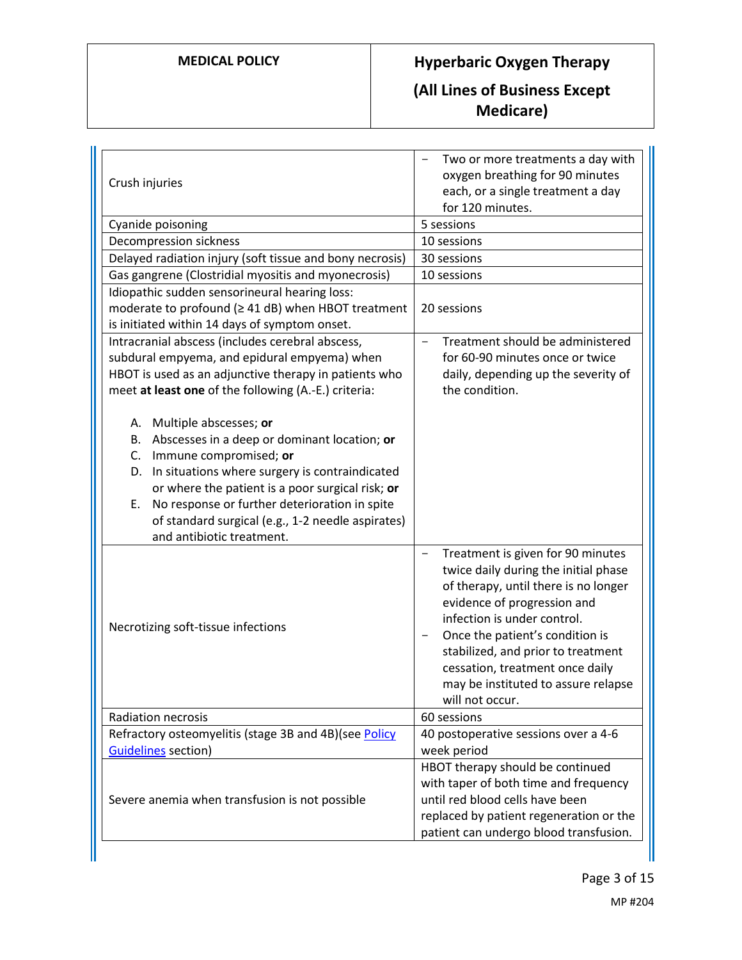# **MEDICAL POLICY Hyperbaric Oxygen Therapy (All Lines of Business Except Medicare)**

| Crush injuries                                                                                                                                                                                                                                                                                                                                                       | Two or more treatments a day with<br>oxygen breathing for 90 minutes<br>each, or a single treatment a day<br>for 120 minutes.                                                                                                                                                                                                                                                     |  |
|----------------------------------------------------------------------------------------------------------------------------------------------------------------------------------------------------------------------------------------------------------------------------------------------------------------------------------------------------------------------|-----------------------------------------------------------------------------------------------------------------------------------------------------------------------------------------------------------------------------------------------------------------------------------------------------------------------------------------------------------------------------------|--|
| Cyanide poisoning                                                                                                                                                                                                                                                                                                                                                    | 5 sessions                                                                                                                                                                                                                                                                                                                                                                        |  |
| Decompression sickness                                                                                                                                                                                                                                                                                                                                               | 10 sessions                                                                                                                                                                                                                                                                                                                                                                       |  |
| Delayed radiation injury (soft tissue and bony necrosis)                                                                                                                                                                                                                                                                                                             | 30 sessions                                                                                                                                                                                                                                                                                                                                                                       |  |
| Gas gangrene (Clostridial myositis and myonecrosis)                                                                                                                                                                                                                                                                                                                  | 10 sessions                                                                                                                                                                                                                                                                                                                                                                       |  |
| Idiopathic sudden sensorineural hearing loss:                                                                                                                                                                                                                                                                                                                        |                                                                                                                                                                                                                                                                                                                                                                                   |  |
| moderate to profound (≥ 41 dB) when HBOT treatment                                                                                                                                                                                                                                                                                                                   | 20 sessions                                                                                                                                                                                                                                                                                                                                                                       |  |
| is initiated within 14 days of symptom onset.                                                                                                                                                                                                                                                                                                                        |                                                                                                                                                                                                                                                                                                                                                                                   |  |
| Intracranial abscess (includes cerebral abscess,                                                                                                                                                                                                                                                                                                                     | Treatment should be administered<br>$\overline{\phantom{0}}$                                                                                                                                                                                                                                                                                                                      |  |
| subdural empyema, and epidural empyema) when                                                                                                                                                                                                                                                                                                                         | for 60-90 minutes once or twice                                                                                                                                                                                                                                                                                                                                                   |  |
| HBOT is used as an adjunctive therapy in patients who                                                                                                                                                                                                                                                                                                                | daily, depending up the severity of                                                                                                                                                                                                                                                                                                                                               |  |
| meet at least one of the following (A.-E.) criteria:                                                                                                                                                                                                                                                                                                                 | the condition.                                                                                                                                                                                                                                                                                                                                                                    |  |
| A. Multiple abscesses; or<br>Abscesses in a deep or dominant location; or<br>В.<br>Immune compromised; or<br>C.<br>In situations where surgery is contraindicated<br>D.<br>or where the patient is a poor surgical risk; or<br>No response or further deterioration in spite<br>Ε.<br>of standard surgical (e.g., 1-2 needle aspirates)<br>and antibiotic treatment. |                                                                                                                                                                                                                                                                                                                                                                                   |  |
| Necrotizing soft-tissue infections                                                                                                                                                                                                                                                                                                                                   | Treatment is given for 90 minutes<br>$\overline{\phantom{0}}$<br>twice daily during the initial phase<br>of therapy, until there is no longer<br>evidence of progression and<br>infection is under control.<br>Once the patient's condition is<br>stabilized, and prior to treatment<br>cessation, treatment once daily<br>may be instituted to assure relapse<br>will not occur. |  |
| <b>Radiation necrosis</b>                                                                                                                                                                                                                                                                                                                                            | 60 sessions                                                                                                                                                                                                                                                                                                                                                                       |  |
| Refractory osteomyelitis (stage 3B and 4B) (see Policy                                                                                                                                                                                                                                                                                                               | 40 postoperative sessions over a 4-6                                                                                                                                                                                                                                                                                                                                              |  |
| <b>Guidelines</b> section)                                                                                                                                                                                                                                                                                                                                           | week period                                                                                                                                                                                                                                                                                                                                                                       |  |
| Severe anemia when transfusion is not possible                                                                                                                                                                                                                                                                                                                       | HBOT therapy should be continued<br>with taper of both time and frequency<br>until red blood cells have been<br>replaced by patient regeneration or the<br>patient can undergo blood transfusion.                                                                                                                                                                                 |  |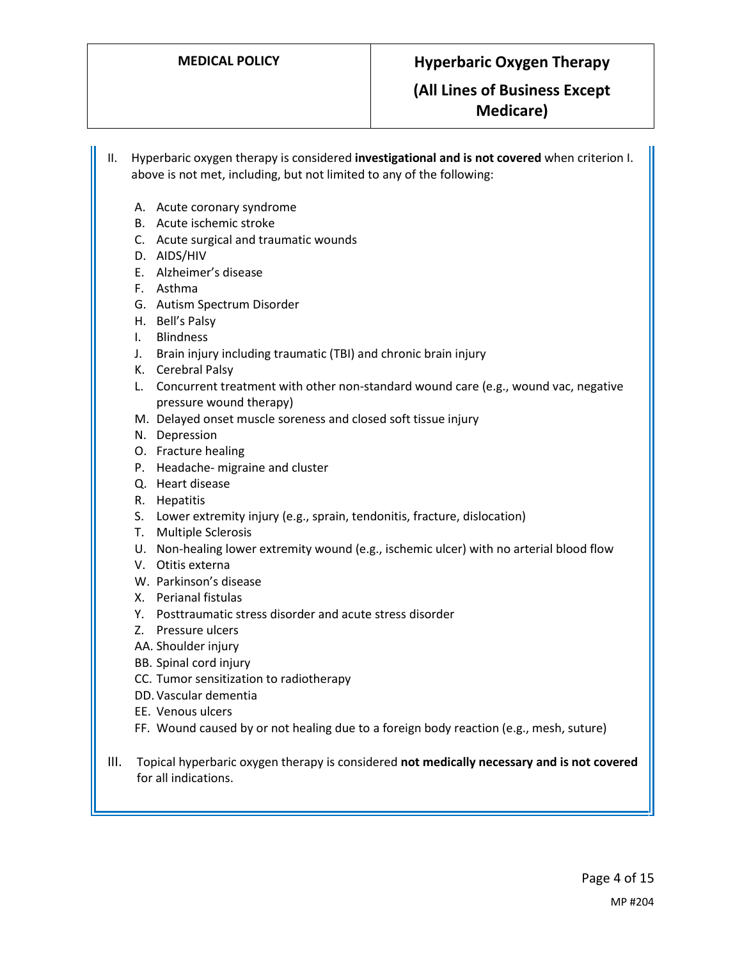II. Hyperbaric oxygen therapy is considered **investigational and is not covered** when criterion I. above is not met, including, but not limited to any of the following:

- A. Acute coronary syndrome
- B. Acute ischemic stroke
- C. Acute surgical and traumatic wounds
- D. AIDS/HIV
- E. Alzheimer's disease
- F. Asthma
- G. Autism Spectrum Disorder
- H. Bell's Palsy
- I. Blindness
- J. Brain injury including traumatic (TBI) and chronic brain injury
- K. Cerebral Palsy
- L. Concurrent treatment with other non-standard wound care (e.g., wound vac, negative pressure wound therapy)
- M. Delayed onset muscle soreness and closed soft tissue injury
- N. Depression
- O. Fracture healing
- P. Headache- migraine and cluster
- Q. Heart disease
- R. Hepatitis
- S. Lower extremity injury (e.g., sprain, tendonitis, fracture, dislocation)
- T. Multiple Sclerosis
- U. Non-healing lower extremity wound (e.g., ischemic ulcer) with no arterial blood flow
- V. Otitis externa
- W. Parkinson's disease
- X. Perianal fistulas
- Y. Posttraumatic stress disorder and acute stress disorder
- Z. Pressure ulcers
- AA. Shoulder injury
- BB. Spinal cord injury
- CC. Tumor sensitization to radiotherapy
- DD.Vascular dementia
- EE. Venous ulcers
- FF. Wound caused by or not healing due to a foreign body reaction (e.g., mesh, suture)
- <span id="page-3-0"></span>III. Topical hyperbaric oxygen therapy is considered **not medically necessary and is not covered** for all indications.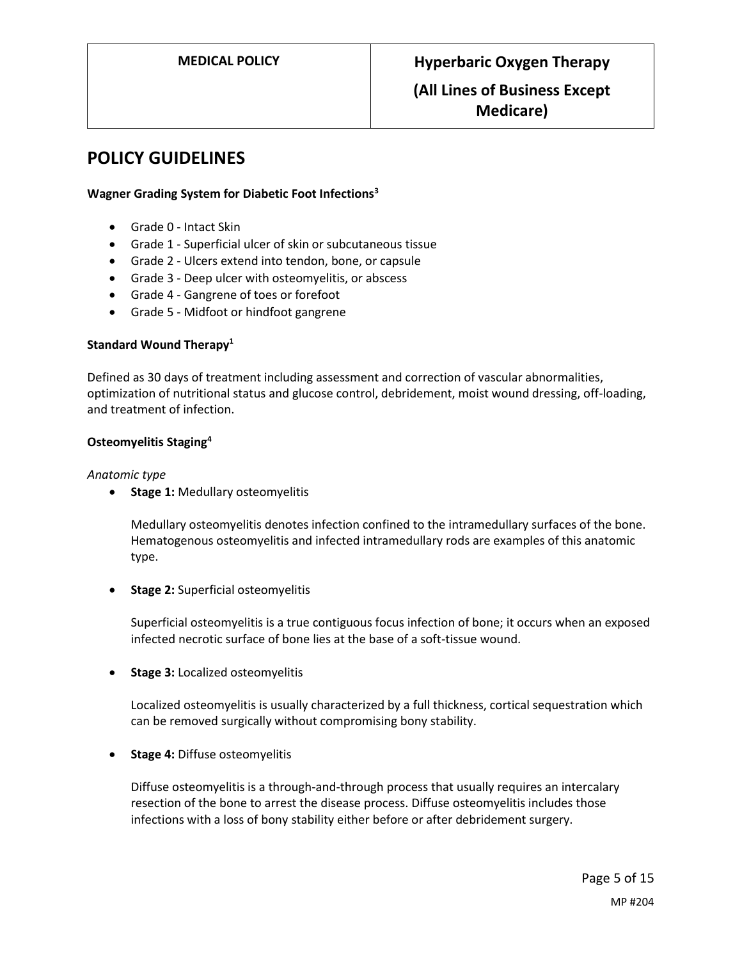## **POLICY GUIDELINES**

## **Wagner Grading System for Diabetic Foot Infections<sup>3</sup>**

- Grade 0 Intact Skin
- Grade 1 Superficial ulcer of skin or subcutaneous tissue
- Grade 2 Ulcers extend into tendon, bone, or capsule
- Grade 3 Deep ulcer with osteomyelitis, or abscess
- Grade 4 Gangrene of toes or forefoot
- Grade 5 Midfoot or hindfoot gangrene

### **Standard Wound Therapy<sup>1</sup>**

Defined as 30 days of treatment including assessment and correction of vascular abnormalities, optimization of nutritional status and glucose control, debridement, moist wound dressing, off-loading, and treatment of infection.

### **Osteomyelitis Staging<sup>4</sup>**

### *Anatomic type*

**Stage 1:** Medullary osteomyelitis

Medullary osteomyelitis denotes infection confined to the intramedullary surfaces of the bone. Hematogenous osteomyelitis and infected intramedullary rods are examples of this anatomic type.

**Stage 2:** Superficial osteomyelitis

Superficial osteomyelitis is a true contiguous focus infection of bone; it occurs when an exposed infected necrotic surface of bone lies at the base of a soft-tissue wound.

**Stage 3:** Localized osteomyelitis

Localized osteomyelitis is usually characterized by a full thickness, cortical sequestration which can be removed surgically without compromising bony stability.

**•** Stage 4: Diffuse osteomyelitis

Diffuse osteomyelitis is a through-and-through process that usually requires an intercalary resection of the bone to arrest the disease process. Diffuse osteomyelitis includes those infections with a loss of bony stability either before or after debridement surgery.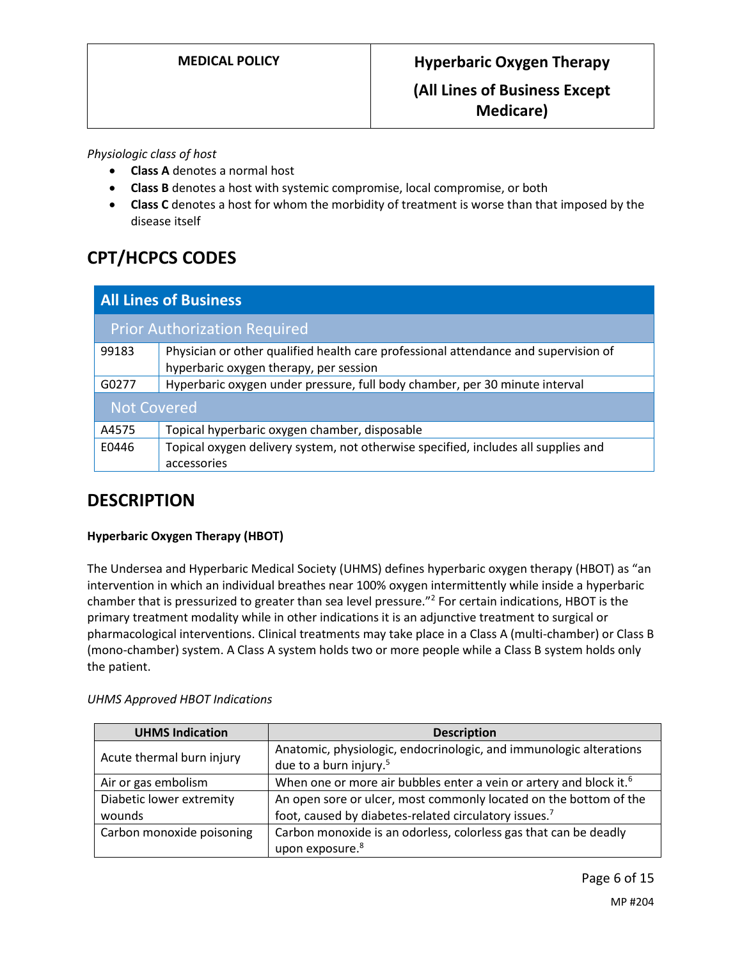## *Physiologic class of host*

- **Class A** denotes a normal host
- **Class B** denotes a host with systemic compromise, local compromise, or both
- **Class C** denotes a host for whom the morbidity of treatment is worse than that imposed by the disease itself

# **CPT/HCPCS CODES**

| <b>All Lines of Business</b> |                                                                                                                               |  |
|------------------------------|-------------------------------------------------------------------------------------------------------------------------------|--|
|                              | <b>Prior Authorization Required</b>                                                                                           |  |
| 99183                        | Physician or other qualified health care professional attendance and supervision of<br>hyperbaric oxygen therapy, per session |  |
| G0277                        | Hyperbaric oxygen under pressure, full body chamber, per 30 minute interval                                                   |  |
| <b>Not Covered</b>           |                                                                                                                               |  |
| A4575                        | Topical hyperbaric oxygen chamber, disposable                                                                                 |  |
| E0446                        | Topical oxygen delivery system, not otherwise specified, includes all supplies and<br>accessories                             |  |

# **DESCRIPTION**

## **Hyperbaric Oxygen Therapy (HBOT)**

The Undersea and Hyperbaric Medical Society (UHMS) defines hyperbaric oxygen therapy (HBOT) as "an intervention in which an individual breathes near 100% oxygen intermittently while inside a hyperbaric chamber that is pressurized to greater than sea level pressure."<sup>2</sup> For certain indications, HBOT is the primary treatment modality while in other indications it is an adjunctive treatment to surgical or pharmacological interventions. Clinical treatments may take place in a Class A (multi-chamber) or Class B (mono-chamber) system. A Class A system holds two or more people while a Class B system holds only the patient.

| <b>UHMS Indication</b>             | <b>Description</b>                                                                                                         |
|------------------------------------|----------------------------------------------------------------------------------------------------------------------------|
| Acute thermal burn injury          | Anatomic, physiologic, endocrinologic, and immunologic alterations<br>due to a burn injury. <sup>5</sup>                   |
| Air or gas embolism                | When one or more air bubbles enter a vein or artery and block it. <sup>6</sup>                                             |
| Diabetic lower extremity<br>wounds | An open sore or ulcer, most commonly located on the bottom of the<br>foot, caused by diabetes-related circulatory issues.7 |
| Carbon monoxide poisoning          | Carbon monoxide is an odorless, colorless gas that can be deadly<br>upon exposure. <sup>8</sup>                            |

Page 6 of 15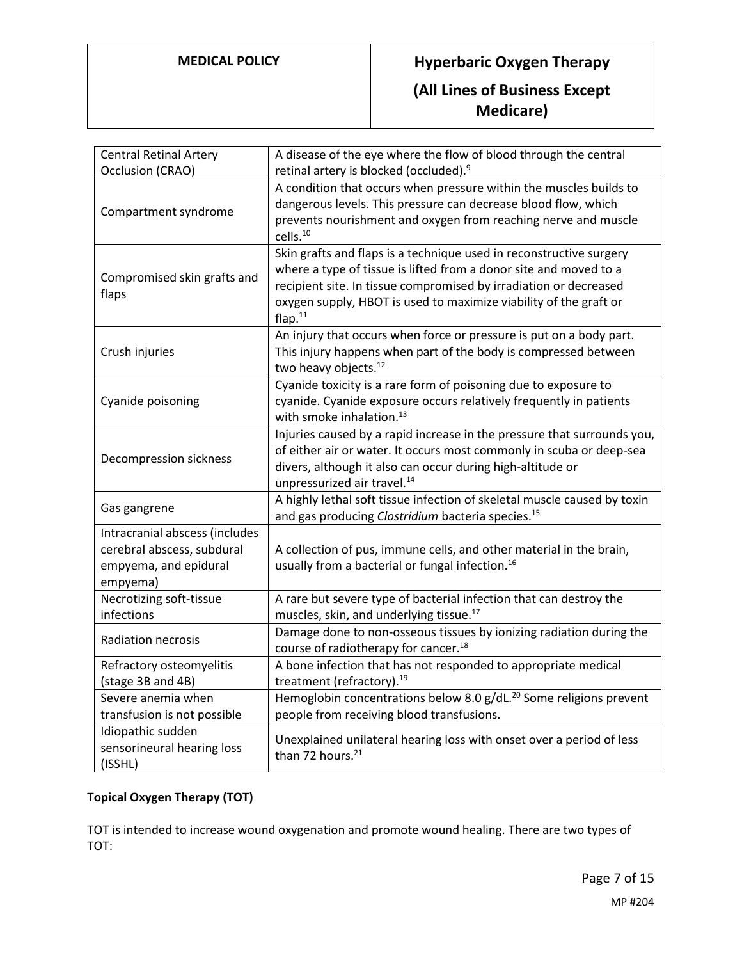# **MEDICAL POLICY Hyperbaric Oxygen Therapy (All Lines of Business Except Medicare)**

| <b>Central Retinal Artery</b>  | A disease of the eye where the flow of blood through the central                                     |
|--------------------------------|------------------------------------------------------------------------------------------------------|
| Occlusion (CRAO)               | retinal artery is blocked (occluded). <sup>9</sup>                                                   |
|                                | A condition that occurs when pressure within the muscles builds to                                   |
| Compartment syndrome           | dangerous levels. This pressure can decrease blood flow, which                                       |
|                                | prevents nourishment and oxygen from reaching nerve and muscle                                       |
|                                | cells. <sup>10</sup>                                                                                 |
|                                | Skin grafts and flaps is a technique used in reconstructive surgery                                  |
| Compromised skin grafts and    | where a type of tissue is lifted from a donor site and moved to a                                    |
| flaps                          | recipient site. In tissue compromised by irradiation or decreased                                    |
|                                | oxygen supply, HBOT is used to maximize viability of the graft or                                    |
|                                | flap. <sup>11</sup>                                                                                  |
|                                | An injury that occurs when force or pressure is put on a body part.                                  |
| Crush injuries                 | This injury happens when part of the body is compressed between                                      |
|                                | two heavy objects. <sup>12</sup>                                                                     |
|                                | Cyanide toxicity is a rare form of poisoning due to exposure to                                      |
| Cyanide poisoning              | cyanide. Cyanide exposure occurs relatively frequently in patients                                   |
|                                | with smoke inhalation. <sup>13</sup>                                                                 |
|                                | Injuries caused by a rapid increase in the pressure that surrounds you,                              |
| Decompression sickness         | of either air or water. It occurs most commonly in scuba or deep-sea                                 |
|                                | divers, although it also can occur during high-altitude or                                           |
|                                | unpressurized air travel. <sup>14</sup>                                                              |
| Gas gangrene                   | A highly lethal soft tissue infection of skeletal muscle caused by toxin                             |
|                                | and gas producing Clostridium bacteria species. <sup>15</sup>                                        |
| Intracranial abscess (includes |                                                                                                      |
| cerebral abscess, subdural     | A collection of pus, immune cells, and other material in the brain,                                  |
| empyema, and epidural          | usually from a bacterial or fungal infection. <sup>16</sup>                                          |
| empyema)                       |                                                                                                      |
| Necrotizing soft-tissue        | A rare but severe type of bacterial infection that can destroy the                                   |
| infections                     | muscles, skin, and underlying tissue. <sup>17</sup>                                                  |
| Radiation necrosis             | Damage done to non-osseous tissues by ionizing radiation during the                                  |
|                                | course of radiotherapy for cancer. <sup>18</sup>                                                     |
| Refractory osteomyelitis       | A bone infection that has not responded to appropriate medical                                       |
| (stage 3B and 4B)              | treatment (refractory). <sup>19</sup>                                                                |
| Severe anemia when             | Hemoglobin concentrations below 8.0 g/dL. <sup>20</sup> Some religions prevent                       |
| transfusion is not possible    | people from receiving blood transfusions.                                                            |
| Idiopathic sudden              |                                                                                                      |
| sensorineural hearing loss     | Unexplained unilateral hearing loss with onset over a period of less<br>than 72 hours. <sup>21</sup> |
| (ISSHL)                        |                                                                                                      |

## **Topical Oxygen Therapy (TOT)**

TOT is intended to increase wound oxygenation and promote wound healing. There are two types of TOT: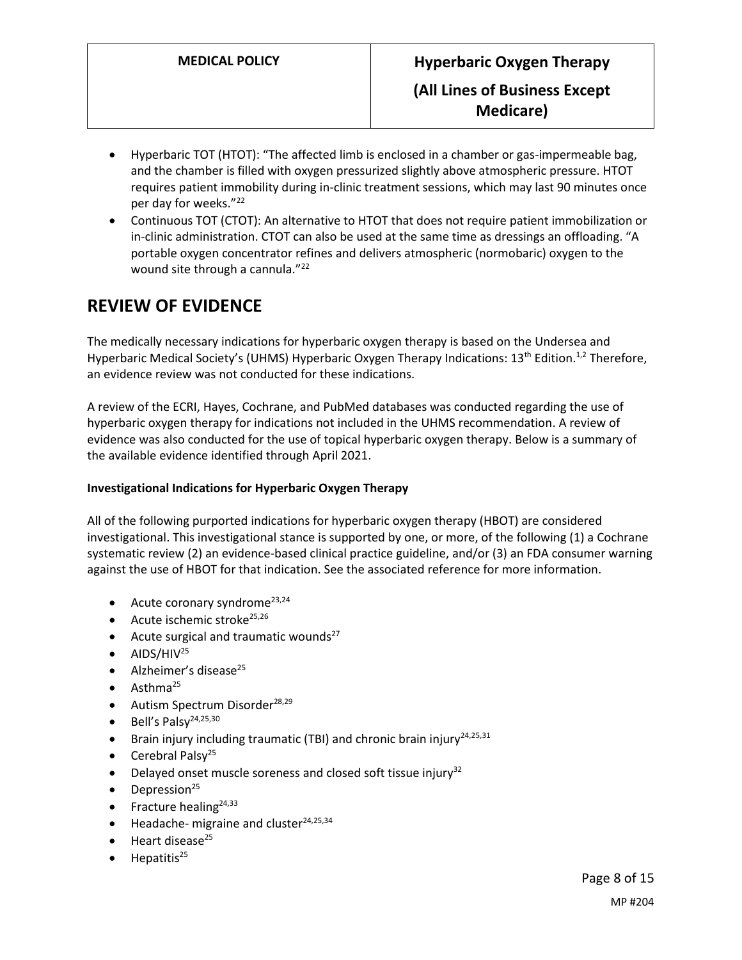- Hyperbaric TOT (HTOT): "The affected limb is enclosed in a chamber or gas-impermeable bag, and the chamber is filled with oxygen pressurized slightly above atmospheric pressure. HTOT requires patient immobility during in-clinic treatment sessions, which may last 90 minutes once per day for weeks."<sup>22</sup>
- Continuous TOT (CTOT): An alternative to HTOT that does not require patient immobilization or in-clinic administration. CTOT can also be used at the same time as dressings an offloading. "A portable oxygen concentrator refines and delivers atmospheric (normobaric) oxygen to the wound site through a cannula."<sup>22</sup>

# **REVIEW OF EVIDENCE**

The medically necessary indications for hyperbaric oxygen therapy is based on the Undersea and Hyperbaric Medical Society's (UHMS) Hyperbaric Oxygen Therapy Indications: 13<sup>th</sup> Edition.<sup>1,2</sup> Therefore, an evidence review was not conducted for these indications.

A review of the ECRI, Hayes, Cochrane, and PubMed databases was conducted regarding the use of hyperbaric oxygen therapy for indications not included in the UHMS recommendation. A review of evidence was also conducted for the use of topical hyperbaric oxygen therapy. Below is a summary of the available evidence identified through April 2021.

## **Investigational Indications for Hyperbaric Oxygen Therapy**

All of the following purported indications for hyperbaric oxygen therapy (HBOT) are considered investigational. This investigational stance is supported by one, or more, of the following (1) a Cochrane systematic review (2) an evidence-based clinical practice guideline, and/or (3) an FDA consumer warning against the use of HBOT for that indication. See the associated reference for more information.

- Acute coronary syndrome<sup>23,24</sup>
- $\bullet$  Acute ischemic stroke<sup>25,26</sup>
- Acute surgical and traumatic wounds<sup>27</sup>
- $\bullet$  AIDS/HIV<sup>25</sup>
- $\bullet$  Alzheimer's disease<sup>25</sup>
- $\bullet$  Asthma<sup>25</sup>
- $\bullet$  Autism Spectrum Disorder<sup>28,29</sup>
- $\bullet$  Bell's Palsv<sup>24,25,30</sup>
- **•** Brain injury including traumatic (TBI) and chronic brain injury<sup>24,25,31</sup>
- Cerebral Palsy<sup>25</sup>
- $\bullet$  Delayed onset muscle soreness and closed soft tissue injury<sup>32</sup>
- $\bullet$  Depression<sup>25</sup>
- Fracture healing<sup>24,33</sup>
- Headache- migraine and cluster<sup>24,25,34</sup>
- Heart disease<sup>25</sup>
- Hepatitis<sup>25</sup>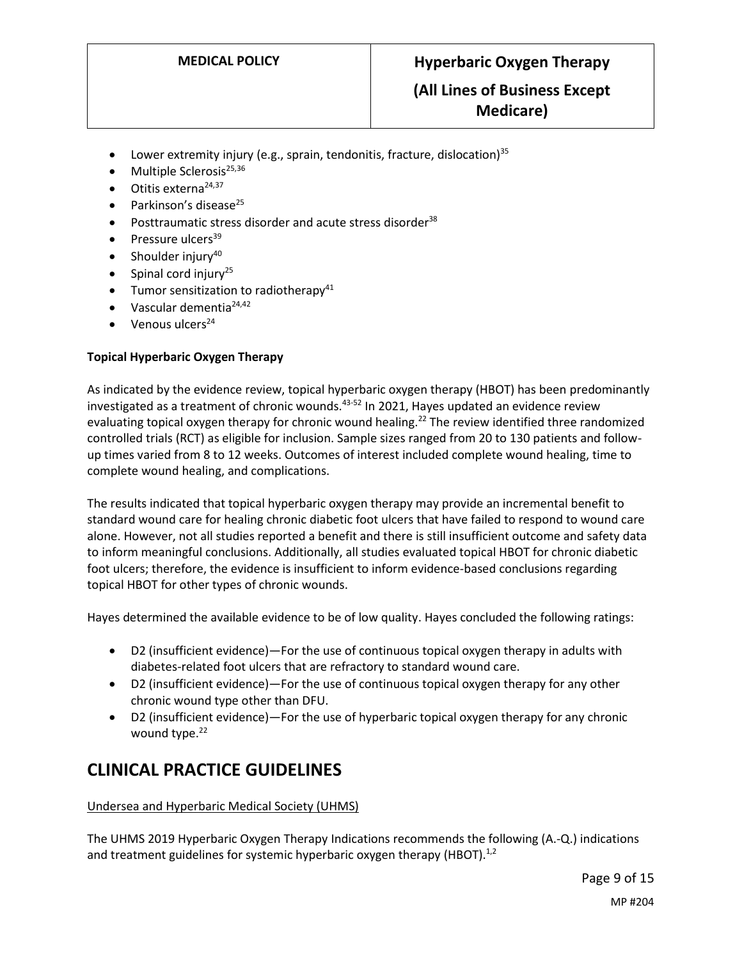- Lower extremity injury (e.g., sprain, tendonitis, fracture, dislocation)<sup>35</sup>
- Multiple Sclerosis<sup>25,36</sup>
- $\bullet$  Otitis externa<sup>24,37</sup>
- Parkinson's disease<sup>25</sup>
- Posttraumatic stress disorder and acute stress disorder<sup>38</sup>
- Pressure ulcers<sup>39</sup>
- Shoulder injury<sup>40</sup>
- Spinal cord injury<sup>25</sup>
- $\bullet$  Tumor sensitization to radiotherapy<sup>41</sup>
- $\bullet$  Vascular dementia<sup>24,42</sup>
- Venous ulcers<sup>24</sup>

## **Topical Hyperbaric Oxygen Therapy**

As indicated by the evidence review, topical hyperbaric oxygen therapy (HBOT) has been predominantly investigated as a treatment of chronic wounds.<sup>43-52</sup> In 2021, Hayes updated an evidence review evaluating topical oxygen therapy for chronic wound healing.<sup>22</sup> The review identified three randomized controlled trials (RCT) as eligible for inclusion. Sample sizes ranged from 20 to 130 patients and followup times varied from 8 to 12 weeks. Outcomes of interest included complete wound healing, time to complete wound healing, and complications.

The results indicated that topical hyperbaric oxygen therapy may provide an incremental benefit to standard wound care for healing chronic diabetic foot ulcers that have failed to respond to wound care alone. However, not all studies reported a benefit and there is still insufficient outcome and safety data to inform meaningful conclusions. Additionally, all studies evaluated topical HBOT for chronic diabetic foot ulcers; therefore, the evidence is insufficient to inform evidence-based conclusions regarding topical HBOT for other types of chronic wounds.

Hayes determined the available evidence to be of low quality. Hayes concluded the following ratings:

- D2 (insufficient evidence)—For the use of continuous topical oxygen therapy in adults with diabetes-related foot ulcers that are refractory to standard wound care.
- D2 (insufficient evidence)—For the use of continuous topical oxygen therapy for any other chronic wound type other than DFU.
- D2 (insufficient evidence)—For the use of hyperbaric topical oxygen therapy for any chronic wound type.<sup>22</sup>

# **CLINICAL PRACTICE GUIDELINES**

### Undersea and Hyperbaric Medical Society (UHMS)

The UHMS 2019 Hyperbaric Oxygen Therapy Indications recommends the following (A.-Q.) indications and treatment guidelines for systemic hyperbaric oxygen therapy (HBOT).<sup>1,2</sup>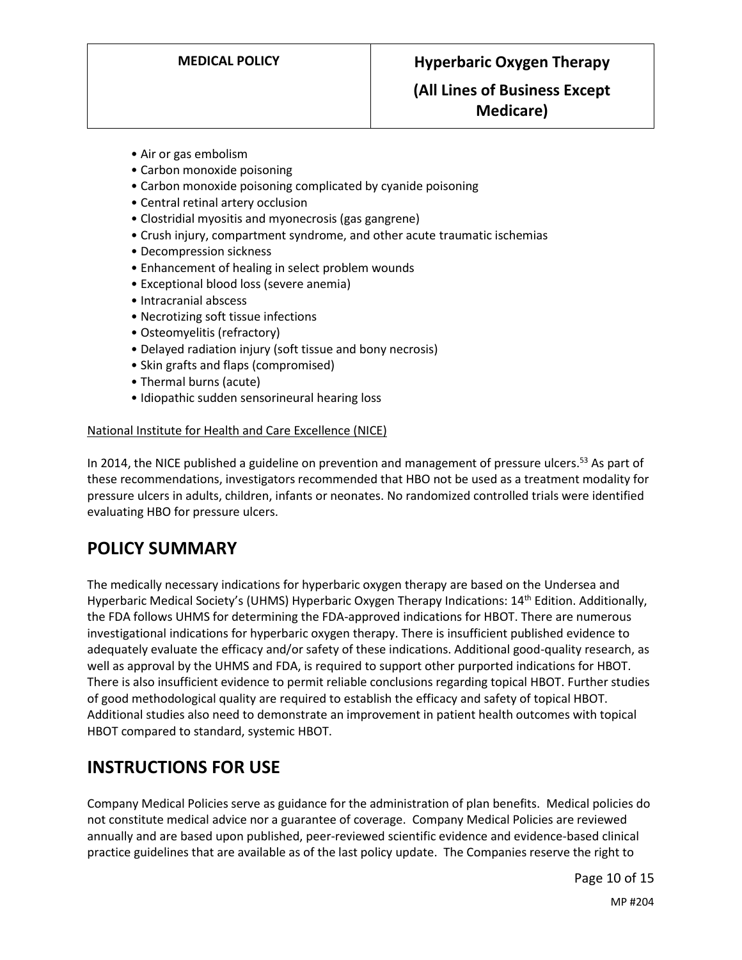## **(All Lines of Business Except Medicare)**

- Air or gas embolism
- Carbon monoxide poisoning
- Carbon monoxide poisoning complicated by cyanide poisoning
- Central retinal artery occlusion
- Clostridial myositis and myonecrosis (gas gangrene)
- Crush injury, compartment syndrome, and other acute traumatic ischemias
- Decompression sickness
- Enhancement of healing in select problem wounds
- Exceptional blood loss (severe anemia)
- Intracranial abscess
- Necrotizing soft tissue infections
- Osteomyelitis (refractory)
- Delayed radiation injury (soft tissue and bony necrosis)
- Skin grafts and flaps (compromised)
- Thermal burns (acute)
- Idiopathic sudden sensorineural hearing loss

### National Institute for Health and Care Excellence (NICE)

In 2014, the NICE published a guideline on prevention and management of pressure ulcers.<sup>53</sup> As part of these recommendations, investigators recommended that HBO not be used as a treatment modality for pressure ulcers in adults, children, infants or neonates. No randomized controlled trials were identified evaluating HBO for pressure ulcers.

# **POLICY SUMMARY**

The medically necessary indications for hyperbaric oxygen therapy are based on the Undersea and Hyperbaric Medical Society's (UHMS) Hyperbaric Oxygen Therapy Indications: 14<sup>th</sup> Edition. Additionally, the FDA follows UHMS for determining the FDA-approved indications for HBOT. There are numerous investigational indications for hyperbaric oxygen therapy. There is insufficient published evidence to adequately evaluate the efficacy and/or safety of these indications. Additional good-quality research, as well as approval by the UHMS and FDA, is required to support other purported indications for HBOT. There is also insufficient evidence to permit reliable conclusions regarding topical HBOT. Further studies of good methodological quality are required to establish the efficacy and safety of topical HBOT. Additional studies also need to demonstrate an improvement in patient health outcomes with topical HBOT compared to standard, systemic HBOT.

# **INSTRUCTIONS FOR USE**

Company Medical Policies serve as guidance for the administration of plan benefits. Medical policies do not constitute medical advice nor a guarantee of coverage. Company Medical Policies are reviewed annually and are based upon published, peer-reviewed scientific evidence and evidence-based clinical practice guidelines that are available as of the last policy update. The Companies reserve the right to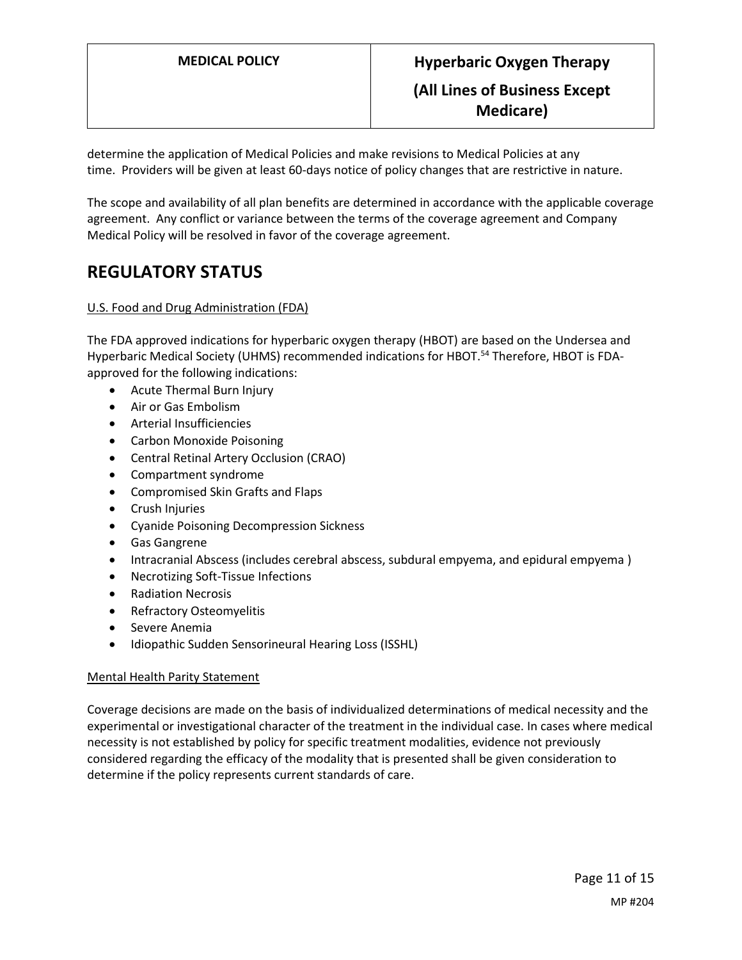determine the application of Medical Policies and make revisions to Medical Policies at any time. Providers will be given at least 60-days notice of policy changes that are restrictive in nature.

The scope and availability of all plan benefits are determined in accordance with the applicable coverage agreement. Any conflict or variance between the terms of the coverage agreement and Company Medical Policy will be resolved in favor of the coverage agreement.

# **REGULATORY STATUS**

### U.S. Food and Drug Administration (FDA)

The FDA approved indications for hyperbaric oxygen therapy (HBOT) are based on the Undersea and Hyperbaric Medical Society (UHMS) recommended indications for HBOT.<sup>54</sup> Therefore, HBOT is FDAapproved for the following indications:

- Acute Thermal Burn Injury
- Air or Gas Embolism
- Arterial Insufficiencies
- Carbon Monoxide Poisoning
- Central Retinal Artery Occlusion (CRAO)
- Compartment syndrome
- Compromised Skin Grafts and Flaps
- Crush Injuries
- Cyanide Poisoning Decompression Sickness
- Gas Gangrene
- Intracranial Abscess (includes cerebral abscess, subdural empyema, and epidural empyema )
- Necrotizing Soft-Tissue Infections
- Radiation Necrosis
- Refractory Osteomyelitis
- **•** Severe Anemia
- Idiopathic Sudden Sensorineural Hearing Loss (ISSHL)

### Mental Health Parity Statement

Coverage decisions are made on the basis of individualized determinations of medical necessity and the experimental or investigational character of the treatment in the individual case. In cases where medical necessity is not established by policy for specific treatment modalities, evidence not previously considered regarding the efficacy of the modality that is presented shall be given consideration to determine if the policy represents current standards of care.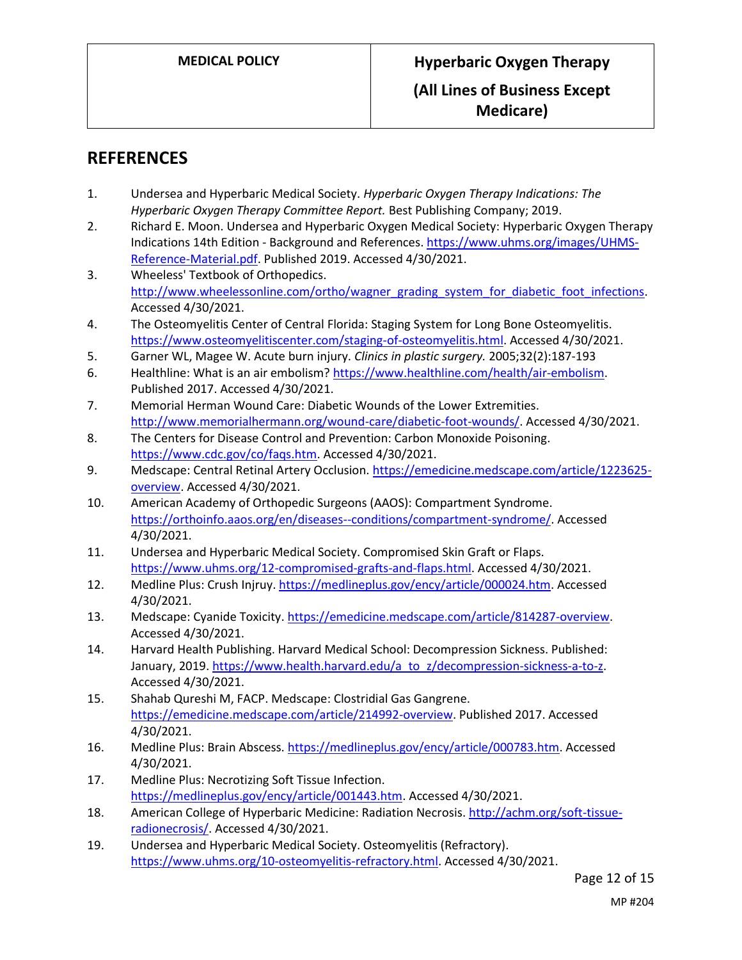# **REFERENCES**

- 1. Undersea and Hyperbaric Medical Society. *Hyperbaric Oxygen Therapy Indications: The Hyperbaric Oxygen Therapy Committee Report.* Best Publishing Company; 2019.
- 2. Richard E. Moon. Undersea and Hyperbaric Oxygen Medical Society: Hyperbaric Oxygen Therapy Indications 14th Edition - Background and References. [https://www.uhms.org/images/UHMS-](https://www.uhms.org/images/UHMS-Reference-Material.pdf)[Reference-Material.pdf.](https://www.uhms.org/images/UHMS-Reference-Material.pdf) Published 2019. Accessed 4/30/2021.
- 3. Wheeless' Textbook of Orthopedics. [http://www.wheelessonline.com/ortho/wagner\\_grading\\_system\\_for\\_diabetic\\_foot\\_infections.](http://www.wheelessonline.com/ortho/wagner_grading_system_for_diabetic_foot_infections) Accessed 4/30/2021.
- 4. The Osteomyelitis Center of Central Florida: Staging System for Long Bone Osteomyelitis. [https://www.osteomyelitiscenter.com/staging-of-osteomyelitis.html.](https://www.osteomyelitiscenter.com/staging-of-osteomyelitis.html) Accessed 4/30/2021.
- 5. Garner WL, Magee W. Acute burn injury. *Clinics in plastic surgery.* 2005;32(2):187-193
- 6. Healthline: What is an air embolism? [https://www.healthline.com/health/air-embolism.](https://www.healthline.com/health/air-embolism) Published 2017. Accessed 4/30/2021.
- 7. Memorial Herman Wound Care: Diabetic Wounds of the Lower Extremities. [http://www.memorialhermann.org/wound-care/diabetic-foot-wounds/.](http://www.memorialhermann.org/wound-care/diabetic-foot-wounds/) Accessed 4/30/2021.
- 8. The Centers for Disease Control and Prevention: Carbon Monoxide Poisoning. [https://www.cdc.gov/co/faqs.htm.](https://www.cdc.gov/co/faqs.htm) Accessed 4/30/2021.
- 9. Medscape: Central Retinal Artery Occlusion[. https://emedicine.medscape.com/article/1223625](https://emedicine.medscape.com/article/1223625-overview) [overview.](https://emedicine.medscape.com/article/1223625-overview) Accessed 4/30/2021.
- 10. American Academy of Orthopedic Surgeons (AAOS): Compartment Syndrome. [https://orthoinfo.aaos.org/en/diseases--conditions/compartment-syndrome/.](https://orthoinfo.aaos.org/en/diseases--conditions/compartment-syndrome/) Accessed 4/30/2021.
- 11. Undersea and Hyperbaric Medical Society. Compromised Skin Graft or Flaps. [https://www.uhms.org/12-compromised-grafts-and-flaps.html.](https://www.uhms.org/12-compromised-grafts-and-flaps.html) Accessed 4/30/2021.
- 12. Medline Plus: Crush Injruy. [https://medlineplus.gov/ency/article/000024.htm.](https://medlineplus.gov/ency/article/000024.htm) Accessed 4/30/2021.
- 13. Medscape: Cyanide Toxicity. [https://emedicine.medscape.com/article/814287-overview.](https://emedicine.medscape.com/article/814287-overview) Accessed 4/30/2021.
- 14. Harvard Health Publishing. Harvard Medical School: Decompression Sickness. Published: January, 2019. [https://www.health.harvard.edu/a\\_to\\_z/decompression-sickness-a-to-z.](https://www.health.harvard.edu/a_to_z/decompression-sickness-a-to-z) Accessed 4/30/2021.
- 15. Shahab Qureshi M, FACP. Medscape: Clostridial Gas Gangrene. [https://emedicine.medscape.com/article/214992-overview.](https://emedicine.medscape.com/article/214992-overview) Published 2017. Accessed 4/30/2021.
- 16. Medline Plus: Brain Abscess. [https://medlineplus.gov/ency/article/000783.htm.](https://medlineplus.gov/ency/article/000783.htm) Accessed 4/30/2021.
- 17. Medline Plus: Necrotizing Soft Tissue Infection. [https://medlineplus.gov/ency/article/001443.htm.](https://medlineplus.gov/ency/article/001443.htm) Accessed 4/30/2021.
- 18. American College of Hyperbaric Medicine: Radiation Necrosis. [http://achm.org/soft-tissue](http://achm.org/soft-tissue-radionecrosis/)[radionecrosis/.](http://achm.org/soft-tissue-radionecrosis/) Accessed 4/30/2021.
- 19. Undersea and Hyperbaric Medical Society. Osteomyelitis (Refractory). [https://www.uhms.org/10-osteomyelitis-refractory.html.](https://www.uhms.org/10-osteomyelitis-refractory.html) Accessed 4/30/2021.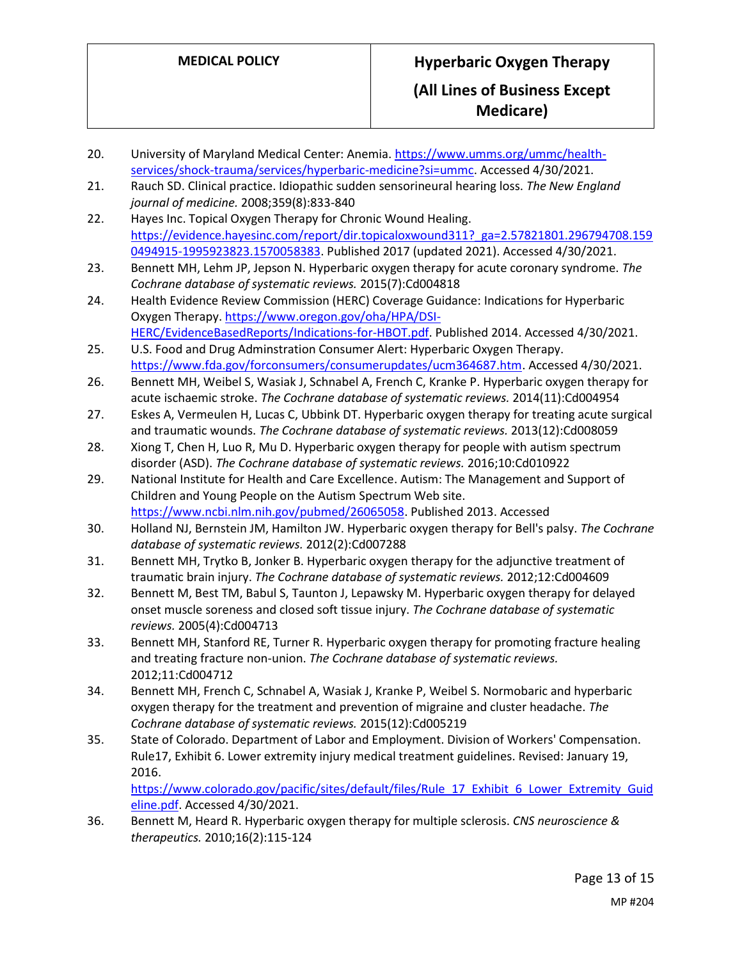- 20. University of Maryland Medical Center: Anemia[. https://www.umms.org/ummc/health](https://www.umms.org/ummc/health-services/shock-trauma/services/hyperbaric-medicine?si=ummc)[services/shock-trauma/services/hyperbaric-medicine?si=ummc.](https://www.umms.org/ummc/health-services/shock-trauma/services/hyperbaric-medicine?si=ummc) Accessed 4/30/2021.
- 21. Rauch SD. Clinical practice. Idiopathic sudden sensorineural hearing loss. *The New England journal of medicine.* 2008;359(8):833-840
- 22. Hayes Inc. Topical Oxygen Therapy for Chronic Wound Healing. [https://evidence.hayesinc.com/report/dir.topicaloxwound311?\\_ga=2.57821801.296794708.159](https://evidence.hayesinc.com/report/dir.topicaloxwound311?_ga=2.57821801.296794708.1590494915-1995923823.1570058383) [0494915-1995923823.1570058383.](https://evidence.hayesinc.com/report/dir.topicaloxwound311?_ga=2.57821801.296794708.1590494915-1995923823.1570058383) Published 2017 (updated 2021). Accessed 4/30/2021.
- 23. Bennett MH, Lehm JP, Jepson N. Hyperbaric oxygen therapy for acute coronary syndrome. *The Cochrane database of systematic reviews.* 2015(7):Cd004818
- 24. Health Evidence Review Commission (HERC) Coverage Guidance: Indications for Hyperbaric Oxygen Therapy[. https://www.oregon.gov/oha/HPA/DSI-](https://www.oregon.gov/oha/HPA/DSI-HERC/EvidenceBasedReports/Indications-for-HBOT.pdf)[HERC/EvidenceBasedReports/Indications-for-HBOT.pdf.](https://www.oregon.gov/oha/HPA/DSI-HERC/EvidenceBasedReports/Indications-for-HBOT.pdf) Published 2014. Accessed 4/30/2021.
- 25. U.S. Food and Drug Adminstration Consumer Alert: Hyperbaric Oxygen Therapy. [https://www.fda.gov/forconsumers/consumerupdates/ucm364687.htm.](https://www.fda.gov/forconsumers/consumerupdates/ucm364687.htm) Accessed 4/30/2021.
- 26. Bennett MH, Weibel S, Wasiak J, Schnabel A, French C, Kranke P. Hyperbaric oxygen therapy for acute ischaemic stroke. *The Cochrane database of systematic reviews.* 2014(11):Cd004954
- 27. Eskes A, Vermeulen H, Lucas C, Ubbink DT. Hyperbaric oxygen therapy for treating acute surgical and traumatic wounds. *The Cochrane database of systematic reviews.* 2013(12):Cd008059
- 28. Xiong T, Chen H, Luo R, Mu D. Hyperbaric oxygen therapy for people with autism spectrum disorder (ASD). *The Cochrane database of systematic reviews.* 2016;10:Cd010922
- 29. National Institute for Health and Care Excellence. Autism: The Management and Support of Children and Young People on the Autism Spectrum Web site. [https://www.ncbi.nlm.nih.gov/pubmed/26065058.](https://www.ncbi.nlm.nih.gov/pubmed/26065058) Published 2013. Accessed
- 30. Holland NJ, Bernstein JM, Hamilton JW. Hyperbaric oxygen therapy for Bell's palsy. *The Cochrane database of systematic reviews.* 2012(2):Cd007288
- 31. Bennett MH, Trytko B, Jonker B. Hyperbaric oxygen therapy for the adjunctive treatment of traumatic brain injury. *The Cochrane database of systematic reviews.* 2012;12:Cd004609
- 32. Bennett M, Best TM, Babul S, Taunton J, Lepawsky M. Hyperbaric oxygen therapy for delayed onset muscle soreness and closed soft tissue injury. *The Cochrane database of systematic reviews.* 2005(4):Cd004713
- 33. Bennett MH, Stanford RE, Turner R. Hyperbaric oxygen therapy for promoting fracture healing and treating fracture non-union. *The Cochrane database of systematic reviews.*  2012;11:Cd004712
- 34. Bennett MH, French C, Schnabel A, Wasiak J, Kranke P, Weibel S. Normobaric and hyperbaric oxygen therapy for the treatment and prevention of migraine and cluster headache. *The Cochrane database of systematic reviews.* 2015(12):Cd005219
- 35. State of Colorado. Department of Labor and Employment. Division of Workers' Compensation. Rule17, Exhibit 6. Lower extremity injury medical treatment guidelines. Revised: January 19, 2016.

[https://www.colorado.gov/pacific/sites/default/files/Rule\\_17\\_Exhibit\\_6\\_Lower\\_Extremity\\_Guid](https://www.colorado.gov/pacific/sites/default/files/Rule_17_Exhibit_6_Lower_Extremity_Guideline.pdf) [eline.pdf.](https://www.colorado.gov/pacific/sites/default/files/Rule_17_Exhibit_6_Lower_Extremity_Guideline.pdf) Accessed 4/30/2021.

36. Bennett M, Heard R. Hyperbaric oxygen therapy for multiple sclerosis. *CNS neuroscience & therapeutics.* 2010;16(2):115-124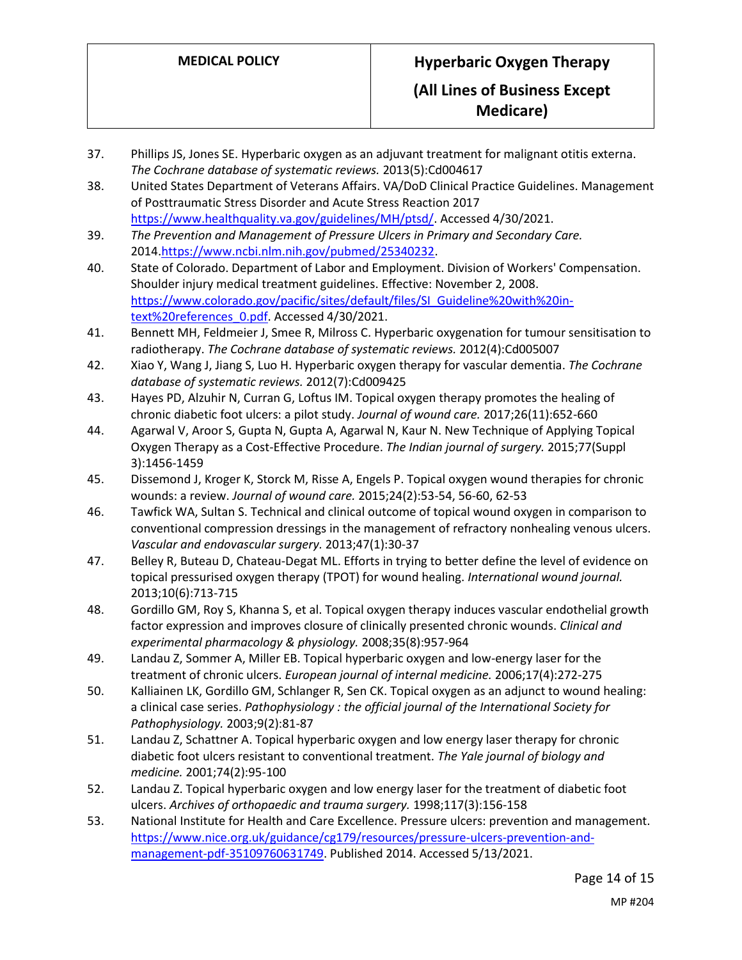- 37. Phillips JS, Jones SE. Hyperbaric oxygen as an adjuvant treatment for malignant otitis externa. *The Cochrane database of systematic reviews.* 2013(5):Cd004617
- 38. United States Department of Veterans Affairs. VA/DoD Clinical Practice Guidelines. Management of Posttraumatic Stress Disorder and Acute Stress Reaction 2017 [https://www.healthquality.va.gov/guidelines/MH/ptsd/.](https://www.healthquality.va.gov/guidelines/MH/ptsd/) Accessed 4/30/2021.
- 39. *The Prevention and Management of Pressure Ulcers in Primary and Secondary Care.*  2014[.https://www.ncbi.nlm.nih.gov/pubmed/25340232.](https://www.ncbi.nlm.nih.gov/pubmed/25340232)
- 40. State of Colorado. Department of Labor and Employment. Division of Workers' Compensation. Shoulder injury medical treatment guidelines. Effective: November 2, 2008. [https://www.colorado.gov/pacific/sites/default/files/SI\\_Guideline%20with%20in](https://www.colorado.gov/pacific/sites/default/files/SI_Guideline%20with%20in-text%20references_0.pdf)[text%20references\\_0.pdf.](https://www.colorado.gov/pacific/sites/default/files/SI_Guideline%20with%20in-text%20references_0.pdf) Accessed 4/30/2021.
- 41. Bennett MH, Feldmeier J, Smee R, Milross C. Hyperbaric oxygenation for tumour sensitisation to radiotherapy. *The Cochrane database of systematic reviews.* 2012(4):Cd005007
- 42. Xiao Y, Wang J, Jiang S, Luo H. Hyperbaric oxygen therapy for vascular dementia. *The Cochrane database of systematic reviews.* 2012(7):Cd009425
- 43. Hayes PD, Alzuhir N, Curran G, Loftus IM. Topical oxygen therapy promotes the healing of chronic diabetic foot ulcers: a pilot study. *Journal of wound care.* 2017;26(11):652-660
- 44. Agarwal V, Aroor S, Gupta N, Gupta A, Agarwal N, Kaur N. New Technique of Applying Topical Oxygen Therapy as a Cost-Effective Procedure. *The Indian journal of surgery.* 2015;77(Suppl 3):1456-1459
- 45. Dissemond J, Kroger K, Storck M, Risse A, Engels P. Topical oxygen wound therapies for chronic wounds: a review. *Journal of wound care.* 2015;24(2):53-54, 56-60, 62-53
- 46. Tawfick WA, Sultan S. Technical and clinical outcome of topical wound oxygen in comparison to conventional compression dressings in the management of refractory nonhealing venous ulcers. *Vascular and endovascular surgery.* 2013;47(1):30-37
- 47. Belley R, Buteau D, Chateau-Degat ML. Efforts in trying to better define the level of evidence on topical pressurised oxygen therapy (TPOT) for wound healing. *International wound journal.*  2013;10(6):713-715
- 48. Gordillo GM, Roy S, Khanna S, et al. Topical oxygen therapy induces vascular endothelial growth factor expression and improves closure of clinically presented chronic wounds. *Clinical and experimental pharmacology & physiology.* 2008;35(8):957-964
- 49. Landau Z, Sommer A, Miller EB. Topical hyperbaric oxygen and low-energy laser for the treatment of chronic ulcers. *European journal of internal medicine.* 2006;17(4):272-275
- 50. Kalliainen LK, Gordillo GM, Schlanger R, Sen CK. Topical oxygen as an adjunct to wound healing: a clinical case series. *Pathophysiology : the official journal of the International Society for Pathophysiology.* 2003;9(2):81-87
- 51. Landau Z, Schattner A. Topical hyperbaric oxygen and low energy laser therapy for chronic diabetic foot ulcers resistant to conventional treatment. *The Yale journal of biology and medicine.* 2001;74(2):95-100
- 52. Landau Z. Topical hyperbaric oxygen and low energy laser for the treatment of diabetic foot ulcers. *Archives of orthopaedic and trauma surgery.* 1998;117(3):156-158
- 53. National Institute for Health and Care Excellence. Pressure ulcers: prevention and management. [https://www.nice.org.uk/guidance/cg179/resources/pressure-ulcers-prevention-and](https://www.nice.org.uk/guidance/cg179/resources/pressure-ulcers-prevention-and-management-pdf-35109760631749)[management-pdf-35109760631749.](https://www.nice.org.uk/guidance/cg179/resources/pressure-ulcers-prevention-and-management-pdf-35109760631749) Published 2014. Accessed 5/13/2021.